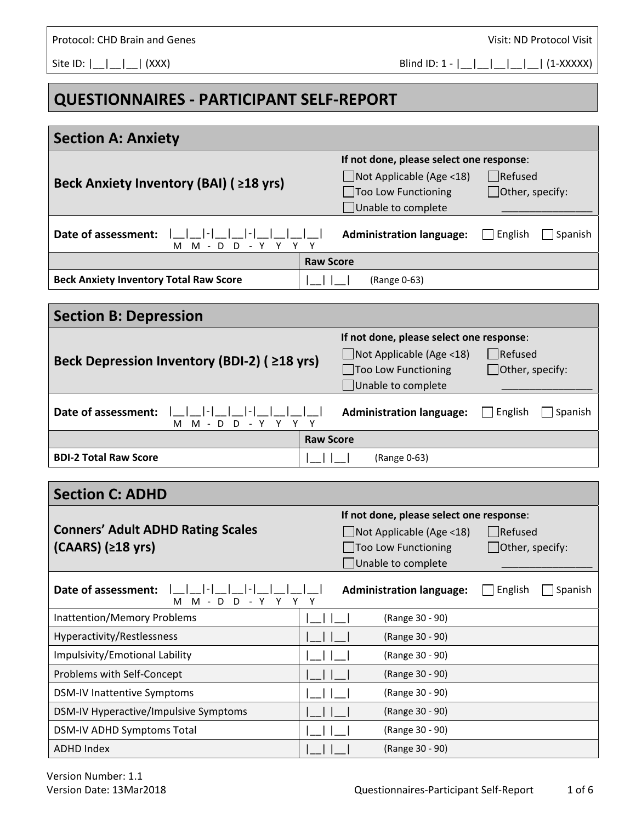Site ID:  $|\_| = |\_| = |\_$  (XXX) Blind ID: 1 -  $|\_| = |\_| = |\_| = |\_$  (1-XXXXX)

## **QUESTIONNAIRES ‐ PARTICIPANT SELF‐REPORT**

| <b>Section A: Anxiety</b>                                                           |                  |                                                                                                                           |                                                  |
|-------------------------------------------------------------------------------------|------------------|---------------------------------------------------------------------------------------------------------------------------|--------------------------------------------------|
| Beck Anxiety Inventory (BAI) (≥18 yrs)                                              |                  | If not done, please select one response:<br>$\Box$ Not Applicable (Age <18)<br>□Too Low Functioning<br>Unable to complete | $\Box$ Refused<br>$\Box$ Other, specify:         |
| Date of assessment:<br>D<br>D<br>- Y<br>м<br>M<br>Y<br>$\blacksquare$               |                  | <b>Administration language:</b>                                                                                           | English<br>Spanish                               |
|                                                                                     | <b>Raw Score</b> |                                                                                                                           |                                                  |
| <b>Beck Anxiety Inventory Total Raw Score</b>                                       |                  | (Range 0-63)                                                                                                              |                                                  |
| <b>Section B: Depression</b>                                                        |                  |                                                                                                                           |                                                  |
| Beck Depression Inventory (BDI-2) (≥18 yrs)                                         |                  | If not done, please select one response:<br>$\Box$ Not Applicable (Age <18)<br>Too Low Functioning<br>Unable to complete  | Refused<br>$\Box$ Other, specify:                |
| Date of assessment:<br>M - D D - Y Y Y Y<br>M                                       |                  | <b>Administration language:</b>                                                                                           | English<br>Spanish                               |
| <b>Raw Score</b>                                                                    |                  |                                                                                                                           |                                                  |
| <b>BDI-2 Total Raw Score</b>                                                        |                  | (Range 0-63)                                                                                                              |                                                  |
| <b>Section C: ADHD</b>                                                              |                  |                                                                                                                           |                                                  |
| <b>Conners' Adult ADHD Rating Scales</b><br>$(CAARS)$ ( $\geq$ 18 yrs)              |                  | If not done, please select one response:<br>$\Box$ Not Applicable (Age <18)<br>Too Low Functioning<br>Unable to complete  | $\blacksquare$ Refused<br>$\Box$ Other, specify: |
| Date of assessment:  _ _ _ - _ _ - _ _ _ _ _ <br>$- Y$<br>M - D<br>D<br>Y<br>Υ<br>м | Υ                | Administration language:<br><br>$\Box$ English $\Box$ Spanish                                                             |                                                  |
| <b>Inattention/Memory Problems</b>                                                  |                  | (Range 30 - 90)                                                                                                           |                                                  |
| Hyperactivity/Restlessness                                                          |                  | (Range 30 - 90)                                                                                                           |                                                  |
| Impulsivity/Emotional Lability                                                      |                  | (Range 30 - 90)                                                                                                           |                                                  |
| Problems with Self-Concept                                                          |                  | (Range 30 - 90)                                                                                                           |                                                  |
| <b>DSM-IV Inattentive Symptoms</b>                                                  |                  | (Range 30 - 90)                                                                                                           |                                                  |
| DSM-IV Hyperactive/Impulsive Symptoms                                               |                  | (Range 30 - 90)                                                                                                           |                                                  |
| DSM-IV ADHD Symptoms Total                                                          |                  | (Range 30 - 90)                                                                                                           |                                                  |
| <b>ADHD Index</b>                                                                   |                  | (Range 30 - 90)                                                                                                           |                                                  |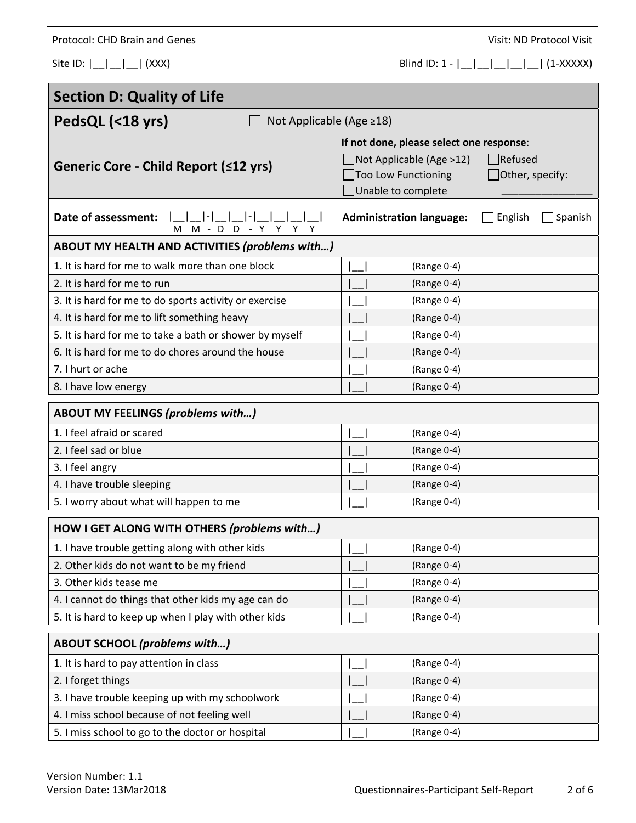| Protocol: CHD Brain and Genes                           | Visit: ND Protocol Visit                              |  |  |  |
|---------------------------------------------------------|-------------------------------------------------------|--|--|--|
| Site ID: $ \_ $<br>  (XXX)                              | Blind ID: $1 -$<br>$(1-XXXX)$                         |  |  |  |
|                                                         |                                                       |  |  |  |
| <b>Section D: Quality of Life</b>                       |                                                       |  |  |  |
| PedsQL (<18 yrs)<br>Not Applicable (Age ≥18)            |                                                       |  |  |  |
|                                                         | If not done, please select one response:              |  |  |  |
|                                                         | $\Box$ Not Applicable (Age >12)<br>$\Box$ Refused     |  |  |  |
| Generic Core - Child Report (≤12 yrs)                   | Too Low Functioning<br>$\Box$ Other, specify:         |  |  |  |
|                                                         | Unable to complete                                    |  |  |  |
| Date of assessment:<br>D<br>$M - D$<br>- Y Y<br>м       | <b>Administration language:</b><br>English<br>Spanish |  |  |  |
| ABOUT MY HEALTH AND ACTIVITIES (problems with)          |                                                       |  |  |  |
| 1. It is hard for me to walk more than one block        | (Range 0-4)                                           |  |  |  |
| 2. It is hard for me to run                             | (Range 0-4)                                           |  |  |  |
| 3. It is hard for me to do sports activity or exercise  | (Range 0-4)                                           |  |  |  |
| 4. It is hard for me to lift something heavy            | (Range 0-4)                                           |  |  |  |
| 5. It is hard for me to take a bath or shower by myself | (Range 0-4)                                           |  |  |  |
| 6. It is hard for me to do chores around the house      | (Range 0-4)                                           |  |  |  |
| 7. I hurt or ache                                       | (Range 0-4)                                           |  |  |  |
| 8. I have low energy                                    | (Range 0-4)                                           |  |  |  |
| <b>ABOUT MY FEELINGS (problems with)</b>                |                                                       |  |  |  |
| 1. I feel afraid or scared                              | (Range 0-4)                                           |  |  |  |
| 2. I feel sad or blue                                   | (Range 0-4)                                           |  |  |  |
| 3. I feel angry                                         | (Range 0-4)                                           |  |  |  |
| 4. I have trouble sleeping                              | (Range 0-4)                                           |  |  |  |
| 5. I worry about what will happen to me                 | (Range 0-4)                                           |  |  |  |
| HOW I GET ALONG WITH OTHERS (problems with)             |                                                       |  |  |  |
| 1. I have trouble getting along with other kids         | (Range 0-4)                                           |  |  |  |
| 2. Other kids do not want to be my friend               | (Range 0-4)                                           |  |  |  |
| 3. Other kids tease me                                  | (Range 0-4)                                           |  |  |  |
| 4. I cannot do things that other kids my age can do     | (Range 0-4)                                           |  |  |  |
| 5. It is hard to keep up when I play with other kids    | (Range 0-4)                                           |  |  |  |
| <b>ABOUT SCHOOL (problems with)</b>                     |                                                       |  |  |  |
| 1. It is hard to pay attention in class                 | (Range 0-4)                                           |  |  |  |
| 2. I forget things                                      | (Range 0-4)                                           |  |  |  |
| 3. I have trouble keeping up with my schoolwork         | (Range 0-4)                                           |  |  |  |
| 4. I miss school because of not feeling well            | (Range 0-4)                                           |  |  |  |
| 5. I miss school to go to the doctor or hospital        | (Range 0-4)                                           |  |  |  |

٦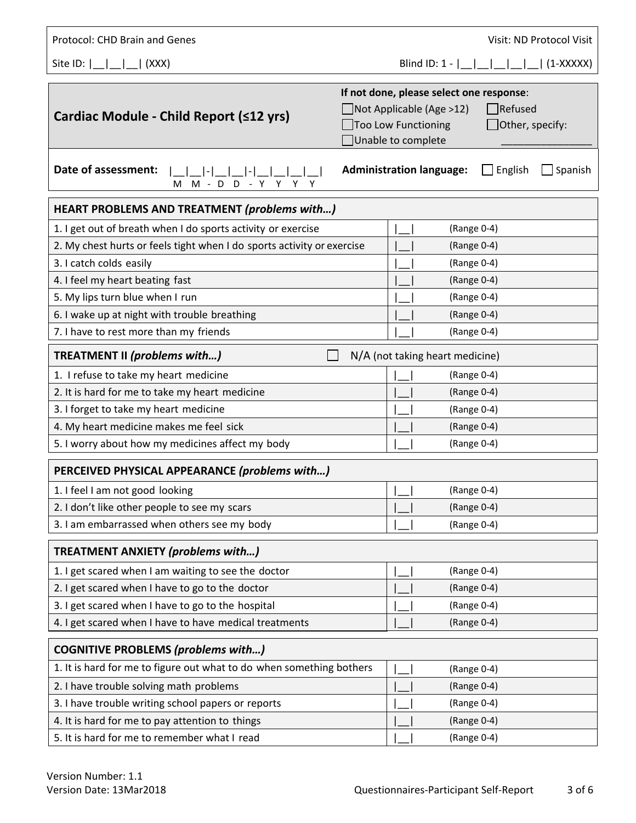| Protocol: CHD Brain and Genes                                                                            | Visit: ND Protocol Visit                                                                                                                                                    |  |  |
|----------------------------------------------------------------------------------------------------------|-----------------------------------------------------------------------------------------------------------------------------------------------------------------------------|--|--|
| Site ID: $\lfloor$ $\lfloor$ $\rfloor$<br>$\vert$ (XXX)                                                  | $(1-XXXXX)$<br>Blind ID: $1 -$                                                                                                                                              |  |  |
| Cardiac Module - Child Report (≤12 yrs)                                                                  | If not done, please select one response:<br>$\Box$ Refused<br>$\Box$ Not Applicable (Age >12)<br>Too Low Functioning<br>$\Box$ Other, specify:<br>$\Box$ Unable to complete |  |  |
| Date of assessment:<br><b>Administration language:</b><br>English<br>Spanish<br>M M - D D - <u>Y Y Y</u> |                                                                                                                                                                             |  |  |
| <b>HEART PROBLEMS AND TREATMENT (problems with)</b>                                                      |                                                                                                                                                                             |  |  |
| 1. I get out of breath when I do sports activity or exercise                                             | (Range 0-4)                                                                                                                                                                 |  |  |
| 2. My chest hurts or feels tight when I do sports activity or exercise                                   | (Range 0-4)                                                                                                                                                                 |  |  |
| 3. I catch colds easily                                                                                  | (Range 0-4)                                                                                                                                                                 |  |  |
| 4. I feel my heart beating fast                                                                          | (Range 0-4)                                                                                                                                                                 |  |  |
| 5. My lips turn blue when I run                                                                          | (Range 0-4)                                                                                                                                                                 |  |  |
| 6. I wake up at night with trouble breathing                                                             | (Range 0-4)                                                                                                                                                                 |  |  |
| 7. I have to rest more than my friends                                                                   | (Range 0-4)                                                                                                                                                                 |  |  |
| TREATMENT II (problems with)<br>N/A (not taking heart medicine)                                          |                                                                                                                                                                             |  |  |
| 1. I refuse to take my heart medicine                                                                    | (Range 0-4)                                                                                                                                                                 |  |  |
| 2. It is hard for me to take my heart medicine                                                           | (Range 0-4)                                                                                                                                                                 |  |  |
| 3. I forget to take my heart medicine                                                                    | (Range 0-4)                                                                                                                                                                 |  |  |
| 4. My heart medicine makes me feel sick                                                                  | (Range 0-4)                                                                                                                                                                 |  |  |
| 5. I worry about how my medicines affect my body                                                         | (Range 0-4)                                                                                                                                                                 |  |  |
| PERCEIVED PHYSICAL APPEARANCE (problems with)                                                            |                                                                                                                                                                             |  |  |
| 1. I feel I am not good looking                                                                          | (Range 0-4)                                                                                                                                                                 |  |  |
| 2. I don't like other people to see my scars                                                             | (Range 0-4)                                                                                                                                                                 |  |  |
| 3. I am embarrassed when others see my body                                                              | (Range 0-4)                                                                                                                                                                 |  |  |
| TREATMENT ANXIETY (problems with)                                                                        |                                                                                                                                                                             |  |  |
| 1. I get scared when I am waiting to see the doctor                                                      | (Range 0-4)                                                                                                                                                                 |  |  |
| 2. I get scared when I have to go to the doctor                                                          | (Range 0-4)                                                                                                                                                                 |  |  |
| 3. I get scared when I have to go to the hospital                                                        | (Range 0-4)                                                                                                                                                                 |  |  |
| 4. I get scared when I have to have medical treatments                                                   | (Range 0-4)                                                                                                                                                                 |  |  |
| <b>COGNITIVE PROBLEMS (problems with)</b>                                                                |                                                                                                                                                                             |  |  |
| 1. It is hard for me to figure out what to do when something bothers                                     | (Range 0-4)                                                                                                                                                                 |  |  |
| 2. I have trouble solving math problems                                                                  | (Range 0-4)                                                                                                                                                                 |  |  |
| 3. I have trouble writing school papers or reports                                                       | (Range 0-4)                                                                                                                                                                 |  |  |
| 4. It is hard for me to pay attention to things                                                          | (Range 0-4)                                                                                                                                                                 |  |  |
| 5. It is hard for me to remember what I read                                                             | (Range 0-4)                                                                                                                                                                 |  |  |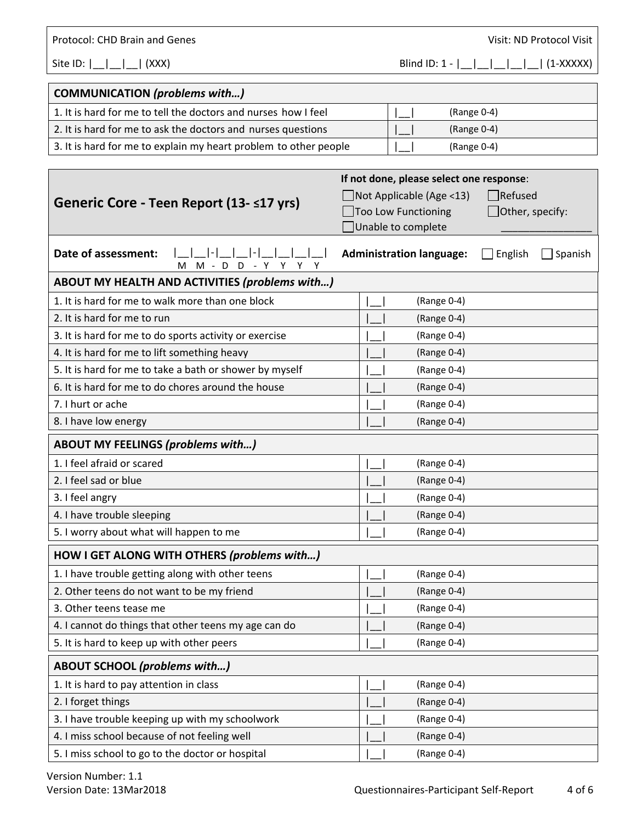Protocol: CHD Brain and Genes *Protocol: CHD Brain and Genes* *Visit: ND Protocol Visit* 

Site ID:  $|\_| = |\_| = |\_$  (XXX) Blind ID: 1 -  $|\_| = |\_| = |\_| = |\_$  (1-XXXXX)

| COMMUNICATION (problems with)                                    |               |
|------------------------------------------------------------------|---------------|
| 1. It is hard for me to tell the doctors and nurses how I feel   | (Range 0-4)   |
| 2. It is hard for me to ask the doctors and nurses questions     | $(Range 0-4)$ |
| 3. It is hard for me to explain my heart problem to other people | (Range 0-4)   |

|                                                         | If not done, please select one response:              |  |  |  |
|---------------------------------------------------------|-------------------------------------------------------|--|--|--|
| Generic Core - Teen Report (13- ≤17 yrs)                | Refused<br>$\Box$ Not Applicable (Age <13)            |  |  |  |
|                                                         | Too Low Functioning<br>$\Box$ Other, specify:         |  |  |  |
|                                                         | JUnable to complete                                   |  |  |  |
| Date of assessment:<br>M M - D D - Y Y Y                | <b>Administration language:</b><br>English<br>Spanish |  |  |  |
| ABOUT MY HEALTH AND ACTIVITIES (problems with)          |                                                       |  |  |  |
| 1. It is hard for me to walk more than one block        | (Range 0-4)                                           |  |  |  |
| 2. It is hard for me to run                             | (Range 0-4)                                           |  |  |  |
| 3. It is hard for me to do sports activity or exercise  | (Range 0-4)                                           |  |  |  |
| 4. It is hard for me to lift something heavy            | (Range 0-4)                                           |  |  |  |
| 5. It is hard for me to take a bath or shower by myself | (Range 0-4)                                           |  |  |  |
| 6. It is hard for me to do chores around the house      | (Range 0-4)                                           |  |  |  |
| 7. I hurt or ache                                       | (Range 0-4)                                           |  |  |  |
| 8. I have low energy                                    | (Range 0-4)                                           |  |  |  |
| <b>ABOUT MY FEELINGS (problems with)</b>                |                                                       |  |  |  |
| 1. I feel afraid or scared                              | (Range 0-4)                                           |  |  |  |
| 2. I feel sad or blue                                   | (Range 0-4)                                           |  |  |  |
| 3. I feel angry                                         | (Range 0-4)                                           |  |  |  |
| 4. I have trouble sleeping                              | (Range 0-4)                                           |  |  |  |
| 5. I worry about what will happen to me                 | (Range 0-4)                                           |  |  |  |
| HOW I GET ALONG WITH OTHERS (problems with)             |                                                       |  |  |  |
| 1. I have trouble getting along with other teens        | (Range 0-4)                                           |  |  |  |
| 2. Other teens do not want to be my friend              | (Range 0-4)                                           |  |  |  |
| 3. Other teens tease me                                 | (Range 0-4)                                           |  |  |  |
| 4. I cannot do things that other teens my age can do    | (Range 0-4)                                           |  |  |  |
| 5. It is hard to keep up with other peers               | (Range 0-4)                                           |  |  |  |
| <b>ABOUT SCHOOL (problems with)</b>                     |                                                       |  |  |  |
| 1. It is hard to pay attention in class                 | (Range 0-4)                                           |  |  |  |
| 2. I forget things                                      | (Range 0-4)                                           |  |  |  |
| 3. I have trouble keeping up with my schoolwork         | (Range 0-4)                                           |  |  |  |
| 4. I miss school because of not feeling well            | (Range 0-4)                                           |  |  |  |
| 5. I miss school to go to the doctor or hospital        | (Range 0-4)                                           |  |  |  |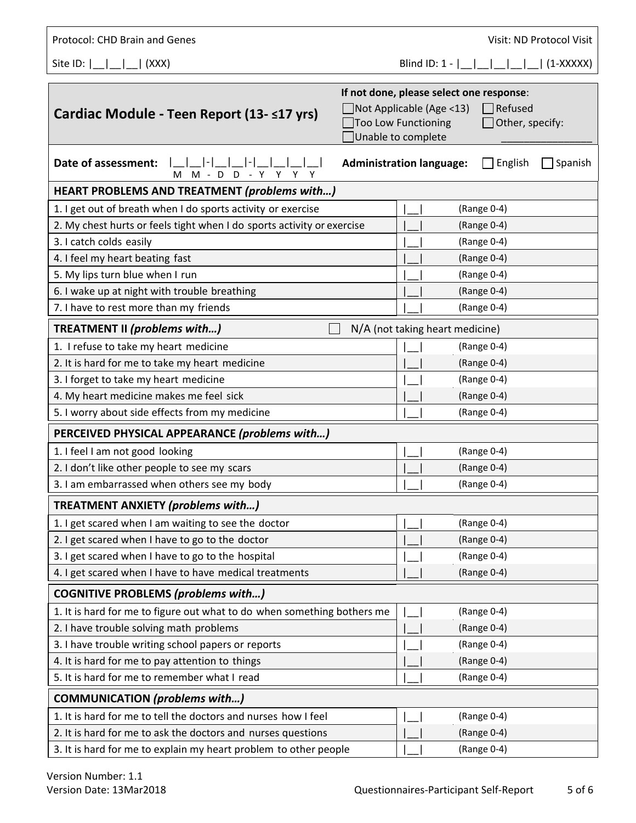| Protocol: CHD Brain and Genes                                           |                                           |                                                                             | Visit: ND Protocol Visit             |
|-------------------------------------------------------------------------|-------------------------------------------|-----------------------------------------------------------------------------|--------------------------------------|
| Site ID: $\lfloor$ $\lfloor$ $\rfloor$<br>.  (XXX)                      |                                           | Blind ID: $1 -$                                                             | $(1-XXXX)$                           |
| Cardiac Module - Teen Report (13- ≤17 yrs)                              | Too Low Functioning<br>Unable to complete | If not done, please select one response:<br>$\Box$ Not Applicable (Age <13) | $\exists$ Refused<br>Other, specify: |
| Date of assessment:<br>$M - D$<br>D<br>м<br>$-Y$<br>Y.<br>Y             |                                           | <b>Administration language:</b>                                             | English<br>Spanish                   |
| <b>HEART PROBLEMS AND TREATMENT (problems with)</b>                     |                                           |                                                                             |                                      |
| 1. I get out of breath when I do sports activity or exercise            |                                           |                                                                             | (Range 0-4)                          |
| 2. My chest hurts or feels tight when I do sports activity or exercise  |                                           |                                                                             | (Range 0-4)                          |
| 3. I catch colds easily                                                 |                                           |                                                                             | (Range 0-4)                          |
| 4. I feel my heart beating fast                                         |                                           |                                                                             | (Range 0-4)                          |
| 5. My lips turn blue when I run                                         |                                           |                                                                             | (Range 0-4)                          |
| 6. I wake up at night with trouble breathing                            |                                           |                                                                             | (Range 0-4)                          |
| 7. I have to rest more than my friends                                  |                                           |                                                                             | (Range 0-4)                          |
| <b>TREATMENT II (problems with)</b>                                     |                                           | N/A (not taking heart medicine)                                             |                                      |
| 1. I refuse to take my heart medicine                                   |                                           |                                                                             | (Range 0-4)                          |
| 2. It is hard for me to take my heart medicine                          |                                           |                                                                             | (Range 0-4)                          |
| 3. I forget to take my heart medicine                                   |                                           |                                                                             | (Range 0-4)                          |
| 4. My heart medicine makes me feel sick                                 |                                           |                                                                             | (Range 0-4)                          |
| 5. I worry about side effects from my medicine                          |                                           |                                                                             | (Range 0-4)                          |
| PERCEIVED PHYSICAL APPEARANCE (problems with)                           |                                           |                                                                             |                                      |
| 1. I feel I am not good looking                                         |                                           |                                                                             | (Range 0-4)                          |
| 2. I don't like other people to see my scars                            |                                           |                                                                             | (Range 0-4)                          |
| 3. I am embarrassed when others see my body                             |                                           |                                                                             | (Range 0-4)                          |
| <b>TREATMENT ANXIETY (problems with)</b>                                |                                           |                                                                             |                                      |
| 1. I get scared when I am waiting to see the doctor                     |                                           |                                                                             | (Range 0-4)                          |
| 2. I get scared when I have to go to the doctor                         |                                           |                                                                             | (Range 0-4)                          |
| 3. I get scared when I have to go to the hospital                       |                                           |                                                                             | (Range 0-4)                          |
| 4. I get scared when I have to have medical treatments                  |                                           |                                                                             | (Range 0-4)                          |
| <b>COGNITIVE PROBLEMS (problems with)</b>                               |                                           |                                                                             |                                      |
| 1. It is hard for me to figure out what to do when something bothers me |                                           |                                                                             | (Range 0-4)                          |
| 2. I have trouble solving math problems                                 |                                           |                                                                             | (Range 0-4)                          |
| 3. I have trouble writing school papers or reports                      |                                           |                                                                             | (Range 0-4)                          |
| 4. It is hard for me to pay attention to things                         |                                           |                                                                             | (Range 0-4)                          |
| 5. It is hard for me to remember what I read                            |                                           |                                                                             | (Range 0-4)                          |
| <b>COMMUNICATION</b> (problems with)                                    |                                           |                                                                             |                                      |
| 1. It is hard for me to tell the doctors and nurses how I feel          |                                           |                                                                             | (Range 0-4)                          |
| 2. It is hard for me to ask the doctors and nurses questions            |                                           |                                                                             | (Range 0-4)                          |
| 3. It is hard for me to explain my heart problem to other people        |                                           |                                                                             | (Range 0-4)                          |